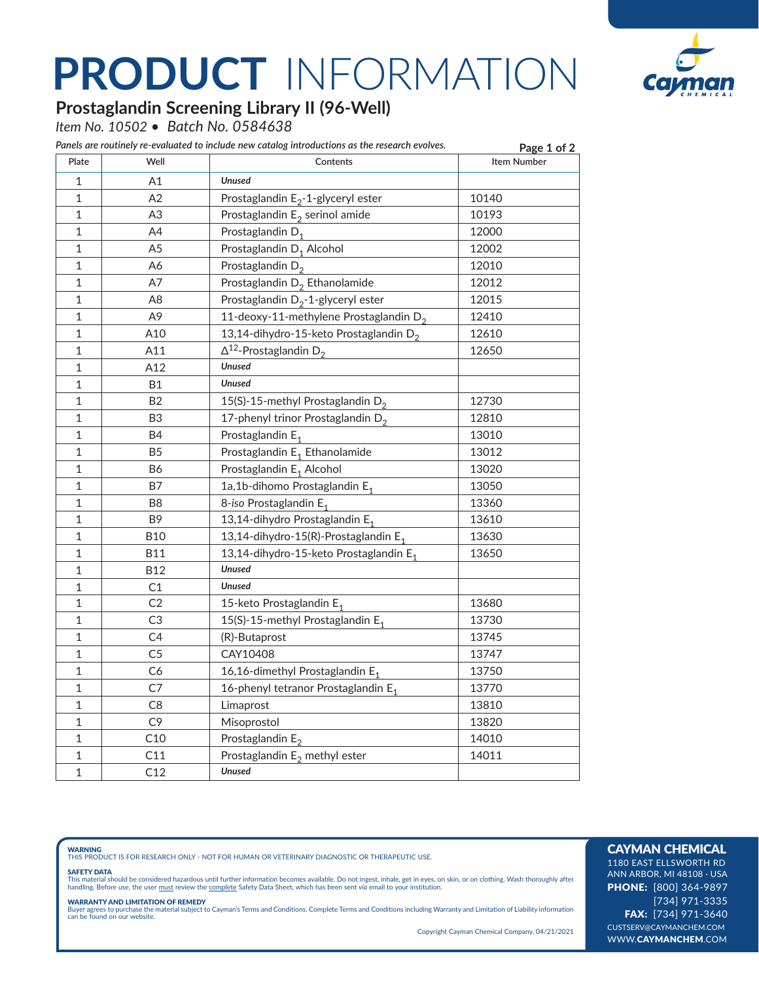# **PRODUCT** INFORMATION



## **Prostaglandin Screening Library II (96-Well)**

*Item No. 10502 • Batch No. 0584638*

| Plate        | Well           | Panels are routinely re-evaluated to include new catalog introductions as the research evolves.<br>Contents | Page 1 of 2<br><b>Item Number</b> |
|--------------|----------------|-------------------------------------------------------------------------------------------------------------|-----------------------------------|
|              |                |                                                                                                             |                                   |
| 1            | A1             | <b>Unused</b>                                                                                               |                                   |
| 1            | A2             | Prostaglandin $E_2$ -1-glyceryl ester                                                                       | 10140                             |
| 1            | A <sub>3</sub> | Prostaglandin $E_2$ serinol amide                                                                           | 10193                             |
| 1            | A4             | Prostaglandin D <sub>1</sub>                                                                                | 12000                             |
| 1            | A <sub>5</sub> | Prostaglandin D <sub>1</sub> Alcohol                                                                        | 12002                             |
| 1            | A6             | Prostaglandin $D_2$                                                                                         | 12010                             |
| 1            | A7             | Prostaglandin D <sub>2</sub> Ethanolamide                                                                   | 12012                             |
| 1            | A8             | Prostaglandin $D_2$ -1-glyceryl ester                                                                       | 12015                             |
| 1            | A9             | 11-deoxy-11-methylene Prostaglandin $D_2$                                                                   | 12410                             |
| 1            | A10            | 13,14-dihydro-15-keto Prostaglandin D <sub>2</sub>                                                          | 12610                             |
| 1            | A11            | $\Delta^{12}$ -Prostaglandin D <sub>2</sub>                                                                 | 12650                             |
| 1            | A12            | <b>Unused</b>                                                                                               |                                   |
| 1            | <b>B1</b>      | <b>Unused</b>                                                                                               |                                   |
| 1            | B <sub>2</sub> | 15(S)-15-methyl Prostaglandin $D_2$                                                                         | 12730                             |
| 1            | B <sub>3</sub> | 17-phenyl trinor Prostaglandin D <sub>2</sub>                                                               | 12810                             |
| 1            | <b>B4</b>      | Prostaglandin E <sub>1</sub>                                                                                | 13010                             |
| 1            | B <sub>5</sub> | Prostaglandin E <sub>1</sub> Ethanolamide                                                                   | 13012                             |
| 1            | <b>B6</b>      | Prostaglandin E <sub>1</sub> Alcohol                                                                        | 13020                             |
| 1            | B7             | 1a,1b-dihomo Prostaglandin E <sub>1</sub>                                                                   | 13050                             |
| 1            | B8             | 8-iso Prostaglandin E <sub>1</sub>                                                                          | 13360                             |
| 1            | B9             | 13,14-dihydro Prostaglandin E <sub>1</sub>                                                                  | 13610                             |
| 1            | <b>B10</b>     | 13,14-dihydro-15(R)-Prostaglandin E <sub>1</sub>                                                            | 13630                             |
| 1            | <b>B11</b>     | 13,14-dihydro-15-keto Prostaglandin E <sub>1</sub>                                                          | 13650                             |
| $\mathbf{1}$ | <b>B12</b>     | <b>Unused</b>                                                                                               |                                   |
| $\mathbf 1$  | C1             | <b>Unused</b>                                                                                               |                                   |
| 1            | C2             | 15-keto Prostaglandin E <sub>1</sub>                                                                        | 13680                             |
| 1            | C3             | 15(S)-15-methyl Prostaglandin E <sub>1</sub>                                                                | 13730                             |
| 1            | C4             | (R)-Butaprost                                                                                               | 13745                             |
| 1            | C <sub>5</sub> | CAY10408                                                                                                    | 13747                             |
| $\mathbf{1}$ | C6             | 16,16-dimethyl Prostaglandin E <sub>1</sub>                                                                 | 13750                             |
| 1            | C7             | 16-phenyl tetranor Prostaglandin E <sub>1</sub>                                                             | 13770                             |
| $\mathbf{1}$ | C8             | Limaprost                                                                                                   | 13810                             |
| $\mathbf 1$  | C <sub>9</sub> | Misoprostol                                                                                                 | 13820                             |
| 1            | C10            | Prostaglandin $E_2$                                                                                         | 14010                             |
| 1            | C11            | Prostaglandin $E_2$ methyl ester                                                                            | 14011                             |
| $\mathbf{1}$ | C12            | <b>Unused</b>                                                                                               |                                   |

**WARNING**<br>THIS PRODUCT IS FOR RESEARCH ONLY - NOT FOR HUMAN OR VETERINARY DIAGNOSTIC OR THERAPEUTIC USE.

### SAFETY DATA

This material should be considered hazardous until further information becomes available. Do not ingest, inhale, get in eyes, on skin, or on clothing. Wash thoroughly after<br>handling. Before use, the user must review the co

**WARRANTY AND LIMITATION OF REMEDY**<br>Buyer agrees to purchase the material subject to Cayman's Terms and Conditions. Complete Terms and Conditions including Warranty and Limitation of Liability information<br>can be found on o

Copyright Cayman Chemical Company, 04/21/2021

## CAYMAN CHEMICAL

1180 EAST ELLSWORTH RD ANN ARBOR, MI 48108 · USA PHONE: [800] 364-9897 [734] 971-3335 FAX: [734] 971-3640 CUSTSERV@CAYMANCHEM.COM WWW.CAYMANCHEM.COM